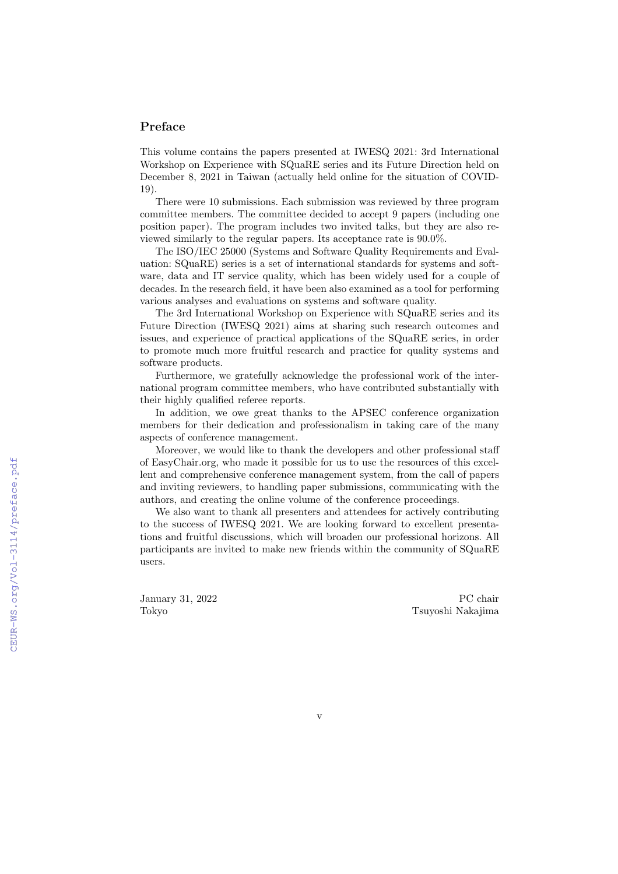## Preface

This volume contains the papers presented at IWESQ 2021: 3rd International Workshop on Experience with SQuaRE series and its Future Direction held on December 8, 2021 in Taiwan (actually held online for the situation of COVID-19).

There were 10 submissions. Each submission was reviewed by three program committee members. The committee decided to accept 9 papers (including one position paper). The program includes two invited talks, but they are also reviewed similarly to the regular papers. Its acceptance rate is 90.0%.

The ISO/IEC 25000 (Systems and Software Quality Requirements and Evaluation: SQuaRE) series is a set of international standards for systems and software, data and IT service quality, which has been widely used for a couple of decades. In the research field, it have been also examined as a tool for performing various analyses and evaluations on systems and software quality.

The 3rd International Workshop on Experience with SQuaRE series and its Future Direction (IWESQ 2021) aims at sharing such research outcomes and issues, and experience of practical applications of the SQuaRE series, in order to promote much more fruitful research and practice for quality systems and software products.

Furthermore, we gratefully acknowledge the professional work of the international program committee members, who have contributed substantially with their highly qualified referee reports.

In addition, we owe great thanks to the APSEC conference organization members for their dedication and professionalism in taking care of the many aspects of conference management.

Moreover, we would like to thank the developers and other professional staff of EasyChair.org, who made it possible for us to use the resources of this excellent and comprehensive conference management system, from the call of papers and inviting reviewers, to handling paper submissions, communicating with the authors, and creating the online volume of the conference proceedings.

We also want to thank all presenters and attendees for actively contributing to the success of IWESQ 2021. We are looking forward to excellent presentations and fruitful discussions, which will broaden our professional horizons. All participants are invited to make new friends within the community of SQuaRE users.

January 31, 2022 Tokyo

PC chair Tsuyoshi Nakajima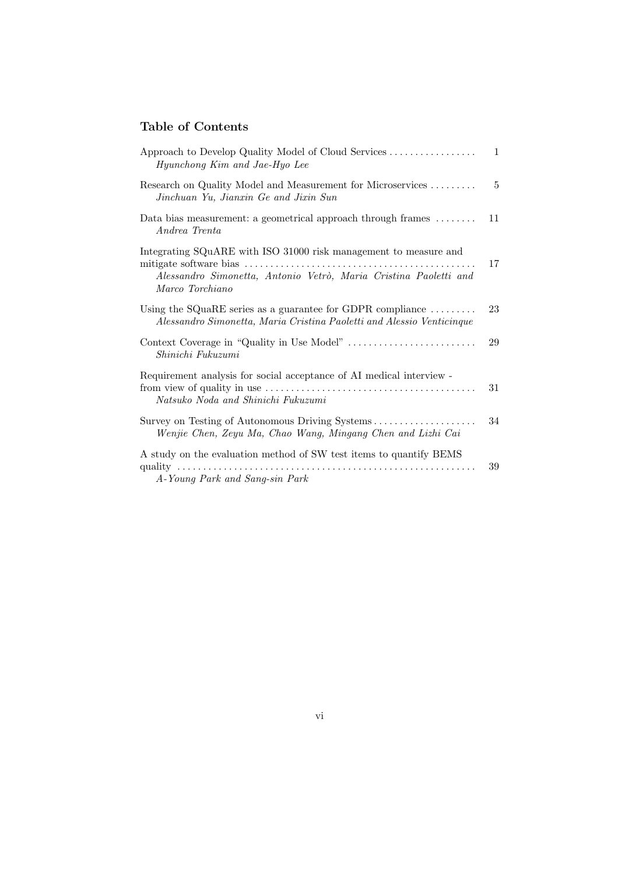## Table of Contents

| Hyunchong Kim and Jae-Hyo Lee                                                                                                                           | 1  |
|---------------------------------------------------------------------------------------------------------------------------------------------------------|----|
| Research on Quality Model and Measurement for Microservices<br>Jinchuan Yu, Jianxin Ge and Jixin Sun                                                    | 5  |
| Data bias measurement: a geometrical approach through frames<br>Andrea Trenta                                                                           | 11 |
| Integrating SQuARE with ISO 31000 risk management to measure and<br>Alessandro Simonetta, Antonio Vetrò, Maria Cristina Paoletti and<br>Marco Torchiano | 17 |
| Using the SQuaRE series as a guarantee for GDPR compliance $\dots\dots\dots$<br>Alessandro Simonetta, Maria Cristina Paoletti and Alessio Venticinque   | 23 |
| Shinichi Fukuzumi                                                                                                                                       | 29 |
| Requirement analysis for social acceptance of AI medical interview -<br>Natsuko Noda and Shinichi Fukuzumi                                              | 31 |
| Survey on Testing of Autonomous Driving Systems<br>Wenjie Chen, Zeyu Ma, Chao Wang, Mingang Chen and Lizhi Cai                                          | 34 |
| A study on the evaluation method of SW test items to quantify BEMS<br>quality $\dots\dots\dots\dots\dots\dots$<br>A-Young Park and Sang-sin Park        | 39 |